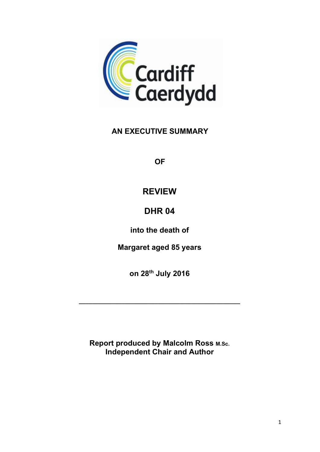

## AN EXECUTIVE SUMMARY

**OF** 

## REVIEW

# **DHR 04**

into the death of

Margaret aged 85 years

on 28th July 2016

 $\_$  ,  $\_$  ,  $\_$  ,  $\_$  ,  $\_$  ,  $\_$  ,  $\_$  ,  $\_$  ,  $\_$  ,  $\_$  ,  $\_$  ,  $\_$  ,  $\_$  ,  $\_$  ,  $\_$ 

Report produced by Malcolm Ross M.Sc. Independent Chair and Author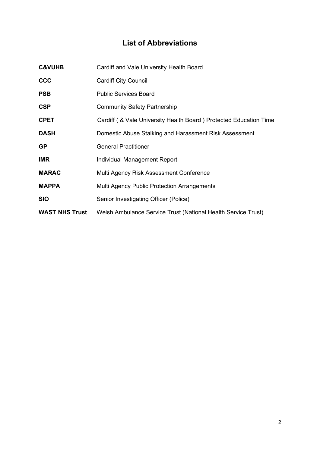## List of Abbreviations

| <b>C&amp;VUHB</b>     | Cardiff and Vale University Health Board                            |  |
|-----------------------|---------------------------------------------------------------------|--|
| <b>CCC</b>            | <b>Cardiff City Council</b>                                         |  |
| <b>PSB</b>            | <b>Public Services Board</b>                                        |  |
| <b>CSP</b>            | <b>Community Safety Partnership</b>                                 |  |
| <b>CPET</b>           | Cardiff ( & Vale University Health Board ) Protected Education Time |  |
| <b>DASH</b>           | Domestic Abuse Stalking and Harassment Risk Assessment              |  |
| <b>GP</b>             | <b>General Practitioner</b>                                         |  |
| <b>IMR</b>            | Individual Management Report                                        |  |
| <b>MARAC</b>          | Multi Agency Risk Assessment Conference                             |  |
| <b>MAPPA</b>          | <b>Multi Agency Public Protection Arrangements</b>                  |  |
| <b>SIO</b>            | Senior Investigating Officer (Police)                               |  |
| <b>WAST NHS Trust</b> | Welsh Ambulance Service Trust (National Health Service Trust)       |  |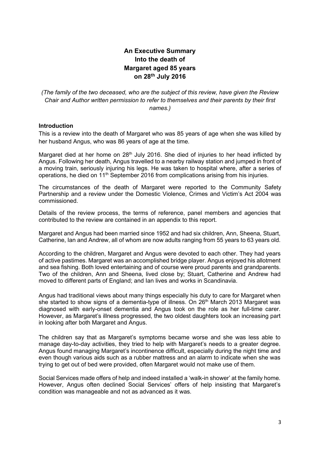## An Executive Summary Into the death of Margaret aged 85 years on 28th July 2016

(The family of the two deceased, who are the subject of this review, have given the Review Chair and Author written permission to refer to themselves and their parents by their first names.)

#### Introduction

This is a review into the death of Margaret who was 85 years of age when she was killed by her husband Angus, who was 86 years of age at the time.

Margaret died at her home on 28<sup>th</sup> July 2016. She died of injuries to her head inflicted by Angus. Following her death, Angus travelled to a nearby railway station and jumped in front of a moving train, seriously injuring his legs. He was taken to hospital where, after a series of operations, he died on  $11<sup>th</sup>$  September 2016 from complications arising from his injuries.

The circumstances of the death of Margaret were reported to the Community Safety Partnership and a review under the Domestic Violence, Crimes and Victim's Act 2004 was commissioned.

Details of the review process, the terms of reference, panel members and agencies that contributed to the review are contained in an appendix to this report.

Margaret and Angus had been married since 1952 and had six children, Ann, Sheena, Stuart, Catherine, Ian and Andrew, all of whom are now adults ranging from 55 years to 63 years old.

According to the children, Margaret and Angus were devoted to each other. They had years of active pastimes. Margaret was an accomplished bridge player. Angus enjoyed his allotment and sea fishing. Both loved entertaining and of course were proud parents and grandparents. Two of the children, Ann and Sheena, lived close by; Stuart, Catherine and Andrew had moved to different parts of England; and Ian lives and works in Scandinavia.

Angus had traditional views about many things especially his duty to care for Margaret when she started to show signs of a dementia-type of illness. On 26<sup>th</sup> March 2013 Margaret was diagnosed with early-onset dementia and Angus took on the role as her full-time carer. However, as Margaret's illness progressed, the two oldest daughters took an increasing part in looking after both Margaret and Angus.

The children say that as Margaret's symptoms became worse and she was less able to manage day-to-day activities, they tried to help with Margaret's needs to a greater degree. Angus found managing Margaret's incontinence difficult, especially during the night time and even though various aids such as a rubber mattress and an alarm to indicate when she was trying to get out of bed were provided, often Margaret would not make use of them.

Social Services made offers of help and indeed installed a 'walk-in shower' at the family home. However, Angus often declined Social Services' offers of help insisting that Margaret's condition was manageable and not as advanced as it was.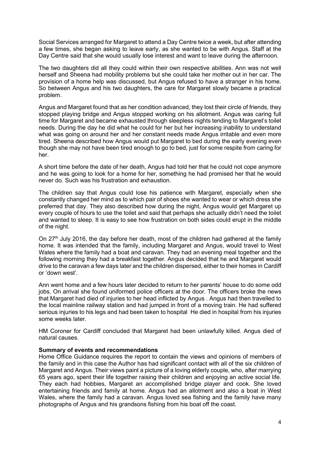Social Services arranged for Margaret to attend a Day Centre twice a week, but after attending a few times, she began asking to leave early, as she wanted to be with Angus. Staff at the Day Centre said that she would usually lose interest and want to leave during the afternoon.

The two daughters did all they could within their own respective abilities. Ann was not well herself and Sheena had mobility problems but she could take her mother out in her car. The provision of a home help was discussed, but Angus refused to have a stranger in his home. So between Angus and his two daughters, the care for Margaret slowly became a practical problem.

Angus and Margaret found that as her condition advanced, they lost their circle of friends, they stopped playing bridge and Angus stopped working on his allotment. Angus was caring full time for Margaret and became exhausted through sleepless nights tending to Margaret's toilet needs. During the day he did what he could for her but her increasing inability to understand what was going on around her and her constant needs made Angus irritable and even more tired. Sheena described how Angus would put Margaret to bed during the early evening even though she may not have been tired enough to go to bed, just for some respite from caring for her.

A short time before the date of her death, Angus had told her that he could not cope anymore and he was going to look for a home for her, something he had promised her that he would never do. Such was his frustration and exhaustion.

The children say that Angus could lose his patience with Margaret, especially when she constantly changed her mind as to which pair of shoes she wanted to wear or which dress she preferred that day. They also described how during the night, Angus would get Margaret up every couple of hours to use the toilet and said that perhaps she actually didn't need the toilet and wanted to sleep. It is easy to see how frustration on both sides could erupt in the middle of the night.

On 27<sup>th</sup> July 2016, the day before her death, most of the children had gathered at the family home. It was intended that the family, including Margaret and Angus, would travel to West Wales where the family had a boat and caravan. They had an evening meal together and the following morning they had a breakfast together. Angus decided that he and Margaret would drive to the caravan a few days later and the children dispersed, either to their homes in Cardiff or 'down west'.

Ann went home and a few hours later decided to return to her parents' house to do some odd jobs. On arrival she found uniformed police officers at the door. The officers broke the news that Margaret had died of injuries to her head inflicted by Angus . Angus had then travelled to the local mainline railway station and had jumped in front of a moving train. He had suffered serious injuries to his legs and had been taken to hospital He died in hospital from his injuries some weeks later.

HM Coroner for Cardiff concluded that Margaret had been unlawfully killed. Angus died of natural causes.

#### Summary of events and recommendations

Home Office Guidance requires the report to contain the views and opinions of members of the family and in this case the Author has had significant contact with all of the six children of Margaret and Angus. Their views paint a picture of a loving elderly couple, who, after marrying 65 years ago, spent their life together raising their children and enjoying an active social life. They each had hobbies, Margaret an accomplished bridge player and cook. She loved entertaining friends and family at home. Angus had an allotment and also a boat in West Wales, where the family had a caravan. Angus loved sea fishing and the family have many photographs of Angus and his grandsons fishing from his boat off the coast.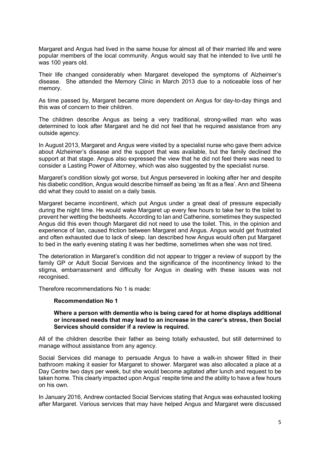Margaret and Angus had lived in the same house for almost all of their married life and were popular members of the local community. Angus would say that he intended to live until he was 100 years old.

Their life changed considerably when Margaret developed the symptoms of Alzheimer's disease. She attended the Memory Clinic in March 2013 due to a noticeable loss of her memory.

As time passed by, Margaret became more dependent on Angus for day-to-day things and this was of concern to their children.

The children describe Angus as being a very traditional, strong-willed man who was determined to look after Margaret and he did not feel that he required assistance from any outside agency.

In August 2013, Margaret and Angus were visited by a specialist nurse who gave them advice about Alzheimer's disease and the support that was available, but the family declined the support at that stage. Angus also expressed the view that he did not feel there was need to consider a Lasting Power of Attorney, which was also suggested by the specialist nurse.

Margaret's condition slowly got worse, but Angus persevered in looking after her and despite his diabetic condition, Angus would describe himself as being 'as fit as a flea'. Ann and Sheena did what they could to assist on a daily basis.

Margaret became incontinent, which put Angus under a great deal of pressure especially during the night time. He would wake Margaret up every few hours to take her to the toilet to prevent her wetting the bedsheets. According to Ian and Catherine, sometimes they suspected Angus did this even though Margaret did not need to use the toilet. This, in the opinion and experience of Ian, caused friction between Margaret and Angus. Angus would get frustrated and often exhausted due to lack of sleep. Ian described how Angus would often put Margaret to bed in the early evening stating it was her bedtime, sometimes when she was not tired.

The deterioration in Margaret's condition did not appear to trigger a review of support by the family GP or Adult Social Services and the significance of the incontinency linked to the stigma, embarrassment and difficulty for Angus in dealing with these issues was not recognised.

Therefore recommendations No 1 is made:

#### Recommendation No 1

#### Where a person with dementia who is being cared for at home displays additional or increased needs that may lead to an increase in the carer's stress, then Social Services should consider if a review is required.

All of the children describe their father as being totally exhausted, but still determined to manage without assistance from any agency.

Social Services did manage to persuade Angus to have a walk-in shower fitted in their bathroom making it easier for Margaret to shower. Margaret was also allocated a place at a Day Centre two days per week, but she would become agitated after lunch and request to be taken home. This clearly impacted upon Angus' respite time and the ability to have a few hours on his own.

In January 2016, Andrew contacted Social Services stating that Angus was exhausted looking after Margaret. Various services that may have helped Angus and Margaret were discussed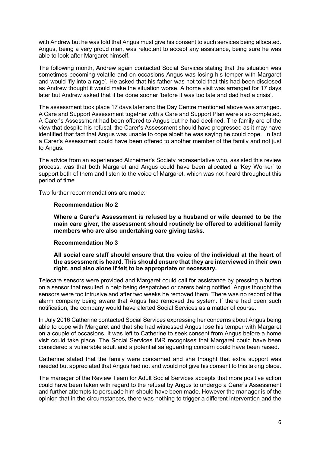with Andrew but he was told that Angus must give his consent to such services being allocated. Angus, being a very proud man, was reluctant to accept any assistance, being sure he was able to look after Margaret himself.

The following month, Andrew again contacted Social Services stating that the situation was sometimes becoming volatile and on occasions Angus was losing his temper with Margaret and would 'fly into a rage'. He asked that his father was not told that this had been disclosed as Andrew thought it would make the situation worse. A home visit was arranged for 17 days later but Andrew asked that it be done sooner 'before it was too late and dad had a crisis'.

The assessment took place 17 days later and the Day Centre mentioned above was arranged. A Care and Support Assessment together with a Care and Support Plan were also completed. A Carer's Assessment had been offered to Angus but he had declined. The family are of the view that despite his refusal, the Carer's Assessment should have progressed as it may have identified that fact that Angus was unable to cope albeit he was saying he could cope. In fact a Carer's Assessment could have been offered to another member of the family and not just to Angus.

The advice from an experienced Alzheimer's Society representative who, assisted this review process, was that both Margaret and Angus could have been allocated a 'Key Worker' to support both of them and listen to the voice of Margaret, which was not heard throughout this period of time.

Two further recommendations are made:

#### Recommendation No 2

Where a Carer's Assessment is refused by a husband or wife deemed to be the main care giver, the assessment should routinely be offered to additional family members who are also undertaking care giving tasks.

## Recommendation No 3

All social care staff should ensure that the voice of the individual at the heart of the assessment is heard. This should ensure that they are interviewed in their own right, and also alone if felt to be appropriate or necessary.

Telecare sensors were provided and Margaret could call for assistance by pressing a button on a sensor that resulted in help being despatched or carers being notified. Angus thought the sensors were too intrusive and after two weeks he removed them. There was no record of the alarm company being aware that Angus had removed the system. If there had been such notification, the company would have alerted Social Services as a matter of course.

In July 2016 Catherine contacted Social Services expressing her concerns about Angus being able to cope with Margaret and that she had witnessed Angus lose his temper with Margaret on a couple of occasions. It was left to Catherine to seek consent from Angus before a home visit could take place. The Social Services IMR recognises that Margaret could have been considered a vulnerable adult and a potential safeguarding concern could have been raised.

Catherine stated that the family were concerned and she thought that extra support was needed but appreciated that Angus had not and would not give his consent to this taking place.

The manager of the Review Team for Adult Social Services accepts that more positive action could have been taken with regard to the refusal by Angus to undergo a Carer's Assessment and further attempts to persuade him should have been made. However the manager is of the opinion that in the circumstances, there was nothing to trigger a different intervention and the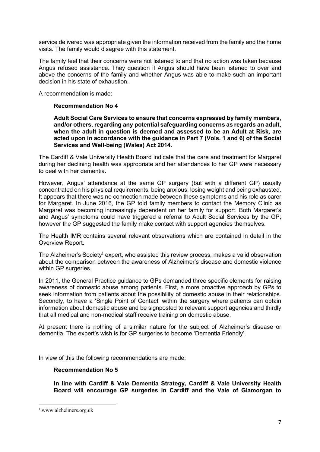service delivered was appropriate given the information received from the family and the home visits. The family would disagree with this statement.

The family feel that their concerns were not listened to and that no action was taken because Angus refused assistance. They question if Angus should have been listened to over and above the concerns of the family and whether Angus was able to make such an important decision in his state of exhaustion.

A recommendation is made:

## Recommendation No 4

Adult Social Care Services to ensure that concerns expressed by family members, and/or others, regarding any potential safeguarding concerns as regards an adult, when the adult in question is deemed and assessed to be an Adult at Risk, are acted upon in accordance with the guidance in Part 7 (Vols. 1 and 6) of the Social Services and Well-being (Wales) Act 2014.

The Cardiff & Vale University Health Board indicate that the care and treatment for Margaret during her declining health was appropriate and her attendances to her GP were necessary to deal with her dementia.

However, Angus' attendance at the same GP surgery (but with a different GP) usually concentrated on his physical requirements, being anxious, losing weight and being exhausted. It appears that there was no connection made between these symptoms and his role as carer for Margaret. In June 2016, the GP told family members to contact the Memory Clinic as Margaret was becoming increasingly dependent on her family for support. Both Margaret's and Angus' symptoms could have triggered a referral to Adult Social Services by the GP; however the GP suggested the family make contact with support agencies themselves.

The Health IMR contains several relevant observations which are contained in detail in the Overview Report.

The Alzheimer's Society<sup>1</sup> expert, who assisted this review process, makes a valid observation about the comparison between the awareness of Alzheimer's disease and domestic violence within GP surgeries.

In 2011, the General Practice guidance to GPs demanded three specific elements for raising awareness of domestic abuse among patients. First, a more proactive approach by GPs to seek information from patients about the possibility of domestic abuse in their relationships. Secondly, to have a 'Single Point of Contact' within the surgery where patients can obtain information about domestic abuse and be signposted to relevant support agencies and thirdly that all medical and non-medical staff receive training on domestic abuse.

At present there is nothing of a similar nature for the subject of Alzheimer's disease or dementia. The expert's wish is for GP surgeries to become 'Dementia Friendly'.

In view of this the following recommendations are made:

#### Recommendation No 5

In line with Cardiff & Vale Dementia Strategy, Cardiff & Vale University Health Board will encourage GP surgeries in Cardiff and the Vale of Glamorgan to

<sup>1</sup> www.alzheimers.org.uk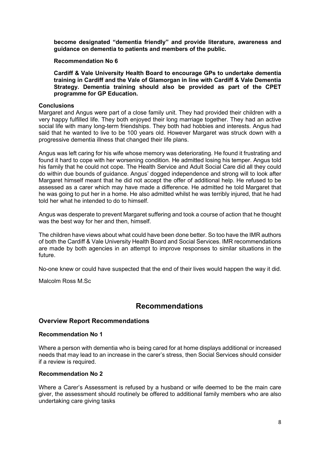become designated "dementia friendly" and provide literature, awareness and guidance on dementia to patients and members of the public.

#### Recommendation No 6

Cardiff & Vale University Health Board to encourage GPs to undertake dementia training in Cardiff and the Vale of Glamorgan in line with Cardiff & Vale Dementia Strategy. Dementia training should also be provided as part of the CPET programme for GP Education.

#### **Conclusions**

Margaret and Angus were part of a close family unit. They had provided their children with a very happy fulfilled life. They both enjoyed their long marriage together. They had an active social life with many long-term friendships. They both had hobbies and interests. Angus had said that he wanted to live to be 100 years old. However Margaret was struck down with a progressive dementia illness that changed their life plans.

Angus was left caring for his wife whose memory was deteriorating. He found it frustrating and found it hard to cope with her worsening condition. He admitted losing his temper. Angus told his family that he could not cope. The Health Service and Adult Social Care did all they could do within due bounds of guidance. Angus' dogged independence and strong will to look after Margaret himself meant that he did not accept the offer of additional help. He refused to be assessed as a carer which may have made a difference. He admitted he told Margaret that he was going to put her in a home. He also admitted whilst he was terribly injured, that he had told her what he intended to do to himself.

Angus was desperate to prevent Margaret suffering and took a course of action that he thought was the best way for her and then, himself.

The children have views about what could have been done better. So too have the IMR authors of both the Cardiff & Vale University Health Board and Social Services. IMR recommendations are made by both agencies in an attempt to improve responses to similar situations in the future.

No-one knew or could have suspected that the end of their lives would happen the way it did.

Malcolm Ross M.Sc

## Recommendations

## Overview Report Recommendations

#### Recommendation No 1

Where a person with dementia who is being cared for at home displays additional or increased needs that may lead to an increase in the carer's stress, then Social Services should consider if a review is required.

#### Recommendation No 2

Where a Carer's Assessment is refused by a husband or wife deemed to be the main care giver, the assessment should routinely be offered to additional family members who are also undertaking care giving tasks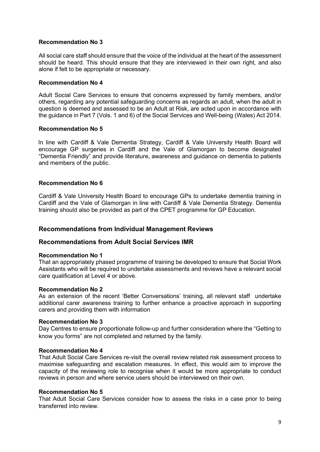## Recommendation No 3

All social care staff should ensure that the voice of the individual at the heart of the assessment should be heard. This should ensure that they are interviewed in their own right, and also alone if felt to be appropriate or necessary.

## Recommendation No 4

Adult Social Care Services to ensure that concerns expressed by family members, and/or others, regarding any potential safeguarding concerns as regards an adult, when the adult in question is deemed and assessed to be an Adult at Risk, are acted upon in accordance with the guidance in Part 7 (Vols. 1 and 6) of the Social Services and Well-being (Wales) Act 2014.

## Recommendation No 5

 In line with Cardiff & Vale Dementia Strategy, Cardiff & Vale University Health Board will encourage GP surgeries in Cardiff and the Vale of Glamorgan to become designated "Dementia Friendly" and provide literature, awareness and guidance on dementia to patients and members of the public.

## Recommendation No 6

Cardiff & Vale University Health Board to encourage GPs to undertake dementia training in Cardiff and the Vale of Glamorgan in line with Cardiff & Vale Dementia Strategy. Dementia training should also be provided as part of the CPET programme for GP Education.

## Recommendations from Individual Management Reviews

## Recommendations from Adult Social Services IMR

#### Recommendation No 1

That an appropriately phased programme of training be developed to ensure that Social Work Assistants who will be required to undertake assessments and reviews have a relevant social care qualification at Level 4 or above.

#### Recommendation No 2

As an extension of the recent 'Better Conversations' training, all relevant staff undertake additional carer awareness training to further enhance a proactive approach in supporting carers and providing them with information

#### Recommendation No 3

Day Centres to ensure proportionate follow-up and further consideration where the "Getting to know you forms" are not completed and returned by the family.

#### Recommendation No 4

That Adult Social Care Services re-visit the overall review related risk assessment process to maximise safeguarding and escalation measures. In effect, this would aim to improve the capacity of the reviewing role to recognise when it would be more appropriate to conduct reviews in person and where service users should be interviewed on their own.

#### Recommendation No 5

That Adult Social Care Services consider how to assess the risks in a case prior to being transferred into review.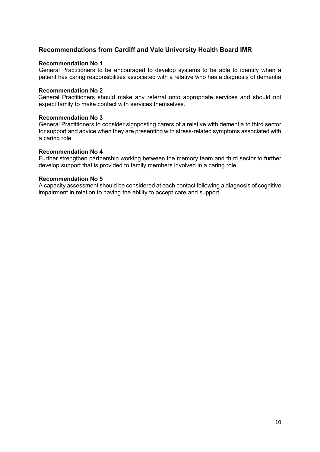## Recommendations from Cardiff and Vale University Health Board IMR

#### Recommendation No 1

General Practitioners to be encouraged to develop systems to be able to identify when a patient has caring responsibilities associated with a relative who has a diagnosis of dementia

#### Recommendation No 2

 General Practitioners should make any referral onto appropriate services and should not expect family to make contact with services themselves.

#### Recommendation No 3

General Practitioners to consider signposting carers of a relative with dementia to third sector for support and advice when they are presenting with stress-related symptoms associated with a caring role.

#### Recommendation No 4

Further strengthen partnership working between the memory team and third sector to further develop support that is provided to family members involved in a caring role.

#### Recommendation No 5

A capacity assessment should be considered at each contact following a diagnosis of cognitive impairment in relation to having the ability to accept care and support.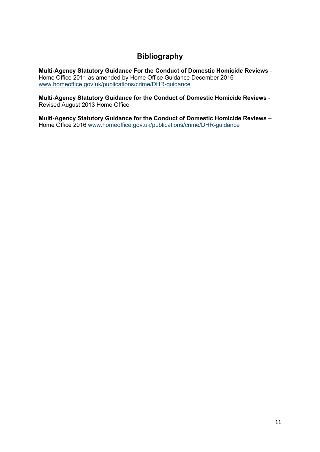## **Bibliography**

Multi-Agency Statutory Guidance For the Conduct of Domestic Homicide Reviews - Home Office 2011 as amended by Home Office Guidance December 2016 www.homeoffice.gov.uk/publications/crime/DHR-guidance

Multi-Agency Statutory Guidance for the Conduct of Domestic Homicide Reviews - Revised August 2013 Home Office

Multi-Agency Statutory Guidance for the Conduct of Domestic Homicide Reviews – Home Office 2016 www.homeoffice.gov.uk/publications/crime/DHR-guidance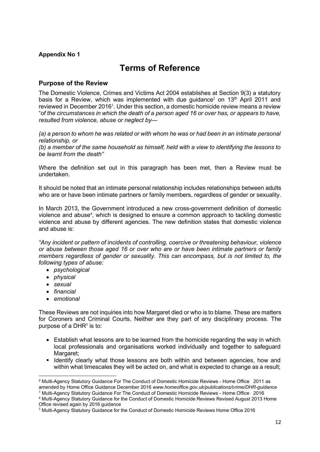## Appendix No 1

## Terms of Reference

## Purpose of the Review

The Domestic Violence, Crimes and Victims Act 2004 establishes at Section 9(3) a statutory basis for a Review, which was implemented with due guidance<sup>2</sup> on 13<sup>th</sup> April 2011 and reviewed in December 2016<sup>3</sup>. Under this section, a domestic homicide review means a review "of the circumstances in which the death of a person aged 16 or over has, or appears to have, resulted from violence, abuse or neglect by—

(a) a person to whom he was related or with whom he was or had been in an intimate personal relationship, or

 (b) a member of the same household as himself, held with a view to identifying the lessons to be learnt from the death"

Where the definition set out in this paragraph has been met, then a Review must be undertaken.

It should be noted that an intimate personal relationship includes relationships between adults who are or have been intimate partners or family members, regardless of gender or sexuality.

In March 2013, the Government introduced a new cross-government definition of domestic violence and abuse<sup>4</sup>, which is designed to ensure a common approach to tackling domestic violence and abuse by different agencies. The new definition states that domestic violence and abuse is:

"Any incident or pattern of incidents of controlling, coercive or threatening behaviour, violence or abuse between those aged 16 or over who are or have been intimate partners or family members regardless of gender or sexuality. This can encompass, but is not limited to, the following types of abuse:

- psychological
- physical
- sexual
- $\bullet$  financial
- emotional

 These Reviews are not inquiries into how Margaret died or who is to blame. These are matters for Coroners and Criminal Courts. Neither are they part of any disciplinary process. The purpose of a DHR $<sup>5</sup>$  is to:</sup>

- Establish what lessons are to be learned from the homicide regarding the way in which local professionals and organisations worked individually and together to safeguard Margaret;
- **I dentify clearly what those lessons are both within and between agencies, how and** within what timescales they will be acted on, and what is expected to change as a result;

<sup>&</sup>lt;sup>2</sup> Multi-Agency Statutory Guidance For The Conduct of Domestic Homicide Reviews - Home Office 2011 as amended by Home Office Guidance December 2016 www.homeoffice.gov.uk/publications/crime/DHR-quidance <sup>3</sup> Multi-Agency Statutory Guidance For The Conduct of Domestic Homicide Reviews - Home Office 2016

<sup>4</sup> Multi-Agency Statutory Guidance for the Conduct of Domestic Homicide Reviews Revised August 2013 Home Office revised again by 2016 guidance

 $<sup>5</sup>$  Multi-Agency Statutory Guidance for the Conduct of Domestic Homicide Reviews Home Office 2016</sup>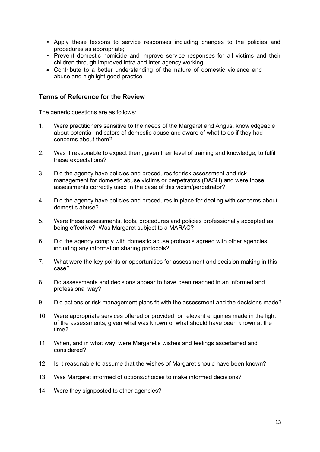- Apply these lessons to service responses including changes to the policies and procedures as appropriate;
- **Prevent domestic homicide and improve service responses for all victims and their** children through improved intra and inter-agency working;
- Contribute to a better understanding of the nature of domestic violence and abuse and highlight good practice.

## Terms of Reference for the Review

The generic questions are as follows:

- 1. Were practitioners sensitive to the needs of the Margaret and Angus, knowledgeable about potential indicators of domestic abuse and aware of what to do if they had concerns about them?
- 2. Was it reasonable to expect them, given their level of training and knowledge, to fulfil these expectations?
- 3. Did the agency have policies and procedures for risk assessment and risk management for domestic abuse victims or perpetrators (DASH) and were those assessments correctly used in the case of this victim/perpetrator?
- 4. Did the agency have policies and procedures in place for dealing with concerns about domestic abuse?
- 5. Were these assessments, tools, procedures and policies professionally accepted as being effective? Was Margaret subject to a MARAC?
- 6. Did the agency comply with domestic abuse protocols agreed with other agencies, including any information sharing protocols?
- 7. What were the key points or opportunities for assessment and decision making in this case?
- 8. Do assessments and decisions appear to have been reached in an informed and professional way?
- 9. Did actions or risk management plans fit with the assessment and the decisions made?
- 10. Were appropriate services offered or provided, or relevant enquiries made in the light of the assessments, given what was known or what should have been known at the time?
- 11. When, and in what way, were Margaret's wishes and feelings ascertained and considered?
- 12. Is it reasonable to assume that the wishes of Margaret should have been known?
- 13. Was Margaret informed of options/choices to make informed decisions?
- 14. Were they signposted to other agencies?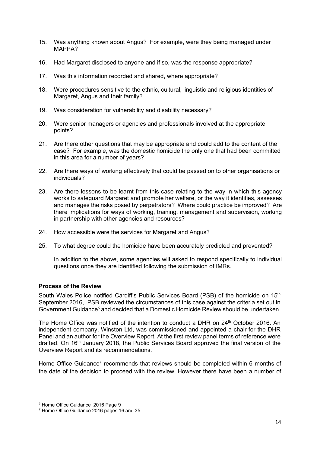- 15. Was anything known about Angus? For example, were they being managed under MAPPA?
- 16. Had Margaret disclosed to anyone and if so, was the response appropriate?
- 17. Was this information recorded and shared, where appropriate?
- 18. Were procedures sensitive to the ethnic, cultural, linguistic and religious identities of Margaret, Angus and their family?
- 19. Was consideration for vulnerability and disability necessary?
- 20. Were senior managers or agencies and professionals involved at the appropriate points?
- 21. Are there other questions that may be appropriate and could add to the content of the case? For example, was the domestic homicide the only one that had been committed in this area for a number of years?
- 22. Are there ways of working effectively that could be passed on to other organisations or individuals?
- 23. Are there lessons to be learnt from this case relating to the way in which this agency works to safeguard Margaret and promote her welfare, or the way it identifies, assesses and manages the risks posed by perpetrators? Where could practice be improved? Are there implications for ways of working, training, management and supervision, working in partnership with other agencies and resources?
- 24. How accessible were the services for Margaret and Angus?
- 25. To what degree could the homicide have been accurately predicted and prevented?

In addition to the above, some agencies will asked to respond specifically to individual questions once they are identified following the submission of IMRs.

## Process of the Review

South Wales Police notified Cardiff's Public Services Board (PSB) of the homicide on 15<sup>th</sup> September 2016, PSB reviewed the circumstances of this case against the criteria set out in Government Guidance<sup>6</sup> and decided that a Domestic Homicide Review should be undertaken.

The Home Office was notified of the intention to conduct a DHR on 24<sup>th</sup> October 2016. An independent company, Winston Ltd, was commissioned and appointed a chair for the DHR Panel and an author for the Overview Report. At the first review panel terms of reference were drafted. On 16<sup>th</sup> January 2018, the Public Services Board approved the final version of the Overview Report and its recommendations.

Home Office Guidance<sup>7</sup> recommends that reviews should be completed within 6 months of the date of the decision to proceed with the review. However there have been a number of

<sup>6</sup> Home Office Guidance 2016 Page 9

<sup>7</sup> Home Office Guidance 2016 pages 16 and 35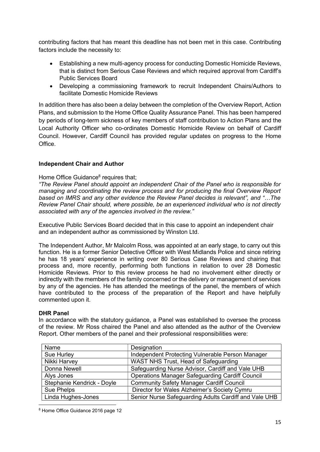contributing factors that has meant this deadline has not been met in this case. Contributing factors include the necessity to:

- Establishing a new multi-agency process for conducting Domestic Homicide Reviews, that is distinct from Serious Case Reviews and which required approval from Cardiff's Public Services Board
- Developing a commissioning framework to recruit Independent Chairs/Authors to facilitate Domestic Homicide Reviews

In addition there has also been a delay between the completion of the Overview Report, Action Plans, and submission to the Home Office Quality Assurance Panel. This has been hampered by periods of long-term sickness of key members of staff contribution to Action Plans and the Local Authority Officer who co-ordinates Domestic Homicide Review on behalf of Cardiff Council. However, Cardiff Council has provided regular updates on progress to the Home Office.

## Independent Chair and Author

## Home Office Guidance<sup>8</sup> requires that;

"The Review Panel should appoint an independent Chair of the Panel who is responsible for managing and coordinating the review process and for producing the final Overview Report based on IMRS and any other evidence the Review Panel decides is relevant", and "…The Review Panel Chair should, where possible, be an experienced individual who is not directly associated with any of the agencies involved in the review."

Executive Public Services Board decided that in this case to appoint an independent chair and an independent author as commissioned by Winston Ltd.

The Independent Author, Mr Malcolm Ross, was appointed at an early stage, to carry out this function. He is a former Senior Detective Officer with West Midlands Police and since retiring he has 18 years' experience in writing over 80 Serious Case Reviews and chairing that process and, more recently, performing both functions in relation to over 28 Domestic Homicide Reviews. Prior to this review process he had no involvement either directly or indirectly with the members of the family concerned or the delivery or management of services by any of the agencies. He has attended the meetings of the panel, the members of which have contributed to the process of the preparation of the Report and have helpfully commented upon it.

#### DHR Panel

In accordance with the statutory guidance, a Panel was established to oversee the process of the review. Mr Ross chaired the Panel and also attended as the author of the Overview Report. Other members of the panel and their professional responsibilities were:

| Name                       | Designation                                            |
|----------------------------|--------------------------------------------------------|
| Sue Hurley                 | Independent Protecting Vulnerable Person Manager       |
| Nikki Harvey               | WAST NHS Trust, Head of Safeguarding                   |
| Donna Newell               | Safeguarding Nurse Advisor, Cardiff and Vale UHB       |
| Alys Jones                 | <b>Operations Manager Safeguarding Cardiff Council</b> |
| Stephanie Kendrick - Doyle | <b>Community Safety Manager Cardiff Council</b>        |
| Sue Phelps                 | Director for Wales Alzheimer's Society Cymru           |
| Linda Hughes-Jones         | Senior Nurse Safeguarding Adults Cardiff and Vale UHB  |

<sup>8</sup> Home Office Guidance 2016 page 12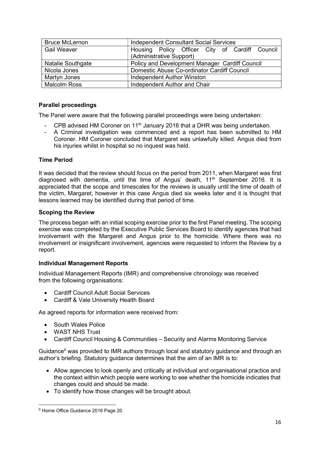| <b>Bruce McLernon</b> | <b>Independent Consultant Social Services</b>  |
|-----------------------|------------------------------------------------|
| <b>Gail Weaver</b>    | Housing Policy Officer City of Cardiff Council |
|                       | (Administrative Support)                       |
| Natalie Southgate     | Policy and Development Manager Cardiff Council |
| Nicola Jones          | Domestic Abuse Co-ordinator Cardiff Council    |
| Martyn Jones          | <b>Independent Author Winston</b>              |
| <b>Malcolm Ross</b>   | Independent Author and Chair                   |

## Parallel proceedings

The Panel were aware that the following parallel proceedings were being undertaken:

- CPB advised HM Coroner on  $11<sup>th</sup>$  January 2016 that a DHR was being undertaken.
- A Criminal investigation was commenced and a report has been submitted to HM Coroner. HM Coroner concluded that Margaret was unlawfully killed. Angus died from his injuries whilst in hospital so no inquest was held.

## Time Period

It was decided that the review should focus on the period from 2011, when Margaret was first diagnosed with dementia, until the time of Angus' death,  $11<sup>th</sup>$  September 2016. It is appreciated that the scope and timescales for the reviews is usually until the time of death of the victim, Margaret, however in this case Angus died six weeks later and it is thought that lessons learned may be identified during that period of time.

## Scoping the Review

The process began with an initial scoping exercise prior to the first Panel meeting. The scoping exercise was completed by the Executive Public Services Board to identify agencies that had involvement with the Margaret and Angus prior to the homicide. Where there was no involvement or insignificant involvement, agencies were requested to inform the Review by a report.

## Individual Management Reports

Individual Management Reports (IMR) and comprehensive chronology was received from the following organisations:

- Cardiff Council Adult Social Services
- Cardiff & Vale University Health Board

As agreed reports for information were received from:

- South Wales Police
- WAST NHS Trust
- Cardiff Council Housing & Communities Security and Alarms Monitoring Service

Guidance $9$  was provided to IMR authors through local and statutory guidance and through an author's briefing. Statutory guidance determines that the aim of an IMR is to:

- Allow agencies to look openly and critically at individual and organisational practice and the context within which people were working to see whether the homicide indicates that changes could and should be made.
- To identify how those changes will be brought about.

<sup>&</sup>lt;sup>9</sup> Home Office Guidance 2016 Page 20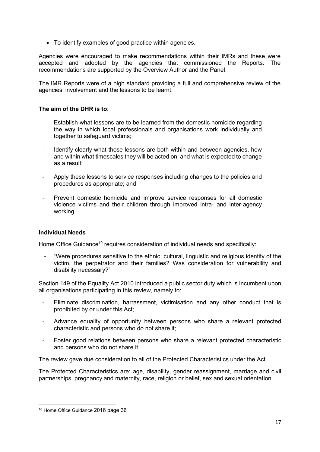To identify examples of good practice within agencies.

Agencies were encouraged to make recommendations within their IMRs and these were accepted and adopted by the agencies that commissioned the Reports. The recommendations are supported by the Overview Author and the Panel.

The IMR Reports were of a high standard providing a full and comprehensive review of the agencies' involvement and the lessons to be learnt.

## The aim of the DHR is to:

- Establish what lessons are to be learned from the domestic homicide regarding the way in which local professionals and organisations work individually and together to safeguard victims;
- Identify clearly what those lessons are both within and between agencies, how and within what timescales they will be acted on, and what is expected to change as a result;
- Apply these lessons to service responses including changes to the policies and procedures as appropriate; and
- Prevent domestic homicide and improve service responses for all domestic violence victims and their children through improved intra- and inter-agency working.

## Individual Needs

Home Office Guidance<sup>10</sup> requires consideration of individual needs and specifically:

"Were procedures sensitive to the ethnic, cultural, linguistic and religious identity of the victim, the perpetrator and their families? Was consideration for vulnerability and disability necessary?"

Section 149 of the Equality Act 2010 introduced a public sector duty which is incumbent upon all organisations participating in this review, namely to:

- Eliminate discrimination, harrassment, victimisation and any other conduct that is prohibited by or under this Act;
- Advance equality of opportunity between persons who share a relevant protected characteristic and persons who do not share it;
- Foster good relations between persons who share a relevant protected characteristic and persons who do not share it.

The review gave due consideration to all of the Protected Characteristics under the Act.

The Protected Characteristics are: age, disability, gender reassignment, marriage and civil partnerships, pregnancy and maternity, race, religion or belief, sex and sexual orientation

<sup>10</sup> Home Office Guidance 2016 page 36